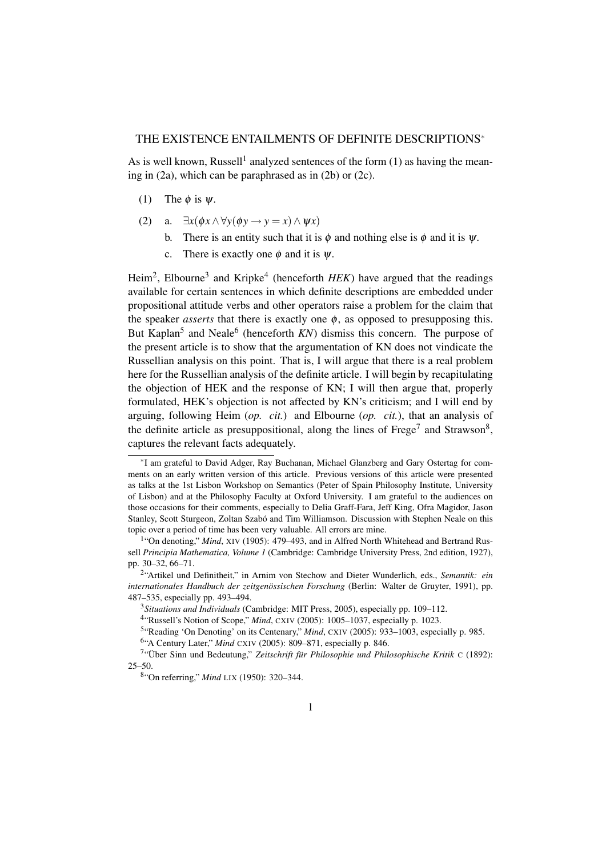# THE EXISTENCE ENTAILMENTS OF DEFINITE DESCRIPTIONS<sup>∗</sup>

As is well known, Russell<sup>1</sup> analyzed sentences of the form  $(1)$  as having the meaning in (2a), which can be paraphrased as in (2b) or (2c).

- (1) The  $\phi$  is  $\psi$ .
- (2) a.  $\exists x (\phi x \land \forall y (\phi y \to y = x) \land \psi x)$ 
	- b. There is an entity such that it is  $\phi$  and nothing else is  $\phi$  and it is  $\psi$ .
	- c. There is exactly one  $\phi$  and it is  $\psi$ .

Heim<sup>2</sup>, Elbourne<sup>3</sup> and Kripke<sup>4</sup> (henceforth *HEK*) have argued that the readings available for certain sentences in which definite descriptions are embedded under propositional attitude verbs and other operators raise a problem for the claim that the speaker *asserts* that there is exactly one  $\phi$ , as opposed to presupposing this. But Kaplan<sup>5</sup> and Neale<sup>6</sup> (henceforth *KN*) dismiss this concern. The purpose of the present article is to show that the argumentation of KN does not vindicate the Russellian analysis on this point. That is, I will argue that there is a real problem here for the Russellian analysis of the definite article. I will begin by recapitulating the objection of HEK and the response of KN; I will then argue that, properly formulated, HEK's objection is not affected by KN's criticism; and I will end by arguing, following Heim (*op. cit.*) and Elbourne (*op. cit.*), that an analysis of the definite article as presuppositional, along the lines of  $\text{Free}^7$  and  $\text{Strawson}^8$ , captures the relevant facts adequately.

<sup>∗</sup> I am grateful to David Adger, Ray Buchanan, Michael Glanzberg and Gary Ostertag for comments on an early written version of this article. Previous versions of this article were presented as talks at the 1st Lisbon Workshop on Semantics (Peter of Spain Philosophy Institute, University of Lisbon) and at the Philosophy Faculty at Oxford University. I am grateful to the audiences on those occasions for their comments, especially to Delia Graff-Fara, Jeff King, Ofra Magidor, Jason Stanley, Scott Sturgeon, Zoltan Szabó and Tim Williamson. Discussion with Stephen Neale on this topic over a period of time has been very valuable. All errors are mine.

<sup>&</sup>lt;sup>1</sup>"On denoting," Mind, XIV (1905): 479-493, and in Alfred North Whitehead and Bertrand Russell *Principia Mathematica, Volume 1* (Cambridge: Cambridge University Press, 2nd edition, 1927), pp. 30–32, 66–71.

<sup>2</sup> "Artikel und Definitheit," in Arnim von Stechow and Dieter Wunderlich, eds., *Semantik: ein* internationales Handbuch der zeitgenössischen Forschung (Berlin: Walter de Gruyter, 1991), pp. 487–535, especially pp. 493–494.

<sup>3</sup>*Situations and Individuals* (Cambridge: MIT Press, 2005), especially pp. 109–112.

<sup>&</sup>lt;sup>4</sup>"Russell's Notion of Scope," Mind, CXIV (2005): 1005-1037, especially p. 1023.

<sup>&</sup>lt;sup>5</sup>"Reading 'On Denoting' on its Centenary," *Mind*, CXIV (2005): 933-1003, especially p. 985.

<sup>6</sup> "A Century Later," *Mind* CXIV (2005): 809–871, especially p. 846.

<sup>&</sup>lt;sup>7</sup>"Über Sinn und Bedeutung," Zeitschrift für Philosophie und Philosophische Kritik C (1892): 25–50.

<sup>8</sup> "On referring," *Mind* LIX (1950): 320–344.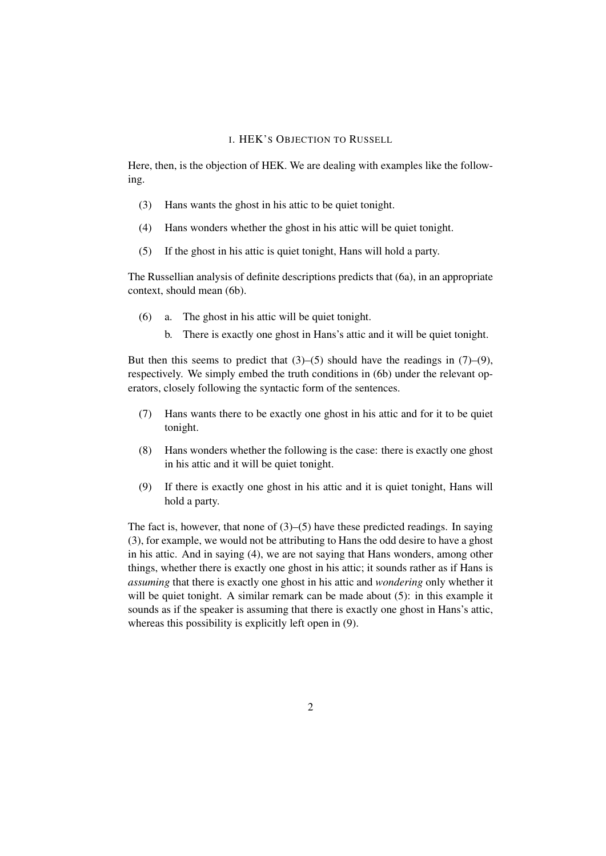### I. HEK'S OBJECTION TO RUSSELL

Here, then, is the objection of HEK. We are dealing with examples like the following.

- (3) Hans wants the ghost in his attic to be quiet tonight.
- (4) Hans wonders whether the ghost in his attic will be quiet tonight.
- (5) If the ghost in his attic is quiet tonight, Hans will hold a party.

The Russellian analysis of definite descriptions predicts that (6a), in an appropriate context, should mean (6b).

- (6) a. The ghost in his attic will be quiet tonight.
	- b. There is exactly one ghost in Hans's attic and it will be quiet tonight.

But then this seems to predict that  $(3)$ – $(5)$  should have the readings in  $(7)$ – $(9)$ , respectively. We simply embed the truth conditions in (6b) under the relevant operators, closely following the syntactic form of the sentences.

- (7) Hans wants there to be exactly one ghost in his attic and for it to be quiet tonight.
- (8) Hans wonders whether the following is the case: there is exactly one ghost in his attic and it will be quiet tonight.
- (9) If there is exactly one ghost in his attic and it is quiet tonight, Hans will hold a party.

The fact is, however, that none of  $(3)$ – $(5)$  have these predicted readings. In saying (3), for example, we would not be attributing to Hans the odd desire to have a ghost in his attic. And in saying (4), we are not saying that Hans wonders, among other things, whether there is exactly one ghost in his attic; it sounds rather as if Hans is *assuming* that there is exactly one ghost in his attic and *wondering* only whether it will be quiet tonight. A similar remark can be made about (5): in this example it sounds as if the speaker is assuming that there is exactly one ghost in Hans's attic, whereas this possibility is explicitly left open in (9).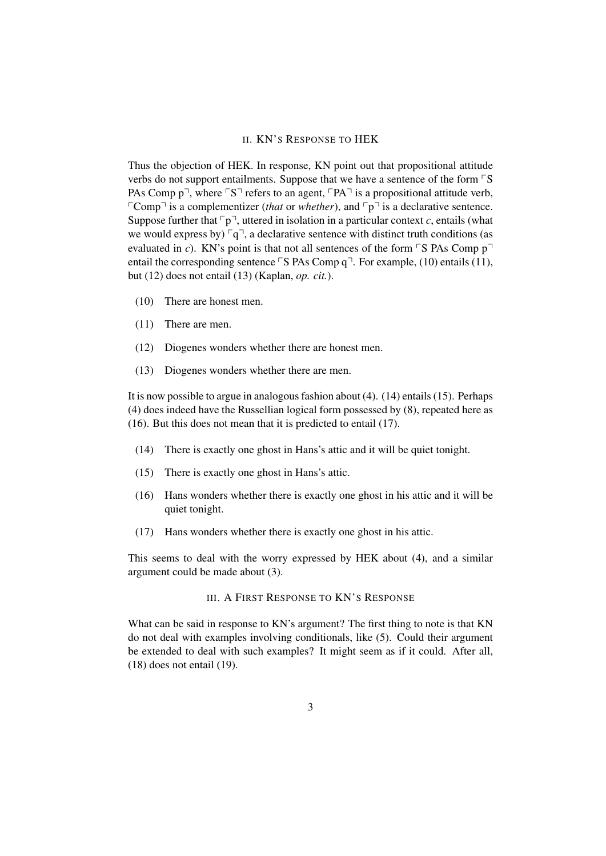### II. KN'S RESPONSE TO HEK

Thus the objection of HEK. In response, KN point out that propositional attitude verbs do not support entailments. Suppose that we have a sentence of the form  $\nabla$ S PAs Comp  $p^{\neg}$ , where  $\ulcorner S \urcorner$  refers to an agent,  $\ulcorner PA \urcorner$  is a propositional attitude verb, FComp<sup> $\exists$ </sup> is a complementizer (*that* or *whether*), and  $\lceil p \rceil$  is a declarative sentence. Suppose further that  $\nabla p$ <sup>-</sup>, uttered in isolation in a particular context *c*, entails (what we would express by)  $\lceil q \rceil$ , a declarative sentence with distinct truth conditions (as evaluated in *c*). KN's point is that not all sentences of the form  $\lceil S \rceil$ S PAs Comp  $p \rceil$ entail the corresponding sentence  $\nabla$  PAs Comp q $\nabla$ . For example, (10) entails (11), but (12) does not entail (13) (Kaplan, *op. cit.*).

- (10) There are honest men.
- (11) There are men.
- (12) Diogenes wonders whether there are honest men.
- (13) Diogenes wonders whether there are men.

It is now possible to argue in analogous fashion about (4). (14) entails (15). Perhaps (4) does indeed have the Russellian logical form possessed by (8), repeated here as (16). But this does not mean that it is predicted to entail (17).

- (14) There is exactly one ghost in Hans's attic and it will be quiet tonight.
- (15) There is exactly one ghost in Hans's attic.
- (16) Hans wonders whether there is exactly one ghost in his attic and it will be quiet tonight.
- (17) Hans wonders whether there is exactly one ghost in his attic.

This seems to deal with the worry expressed by HEK about (4), and a similar argument could be made about (3).

# III. A FIRST RESPONSE TO KN'S RESPONSE

What can be said in response to KN's argument? The first thing to note is that KN do not deal with examples involving conditionals, like (5). Could their argument be extended to deal with such examples? It might seem as if it could. After all, (18) does not entail (19).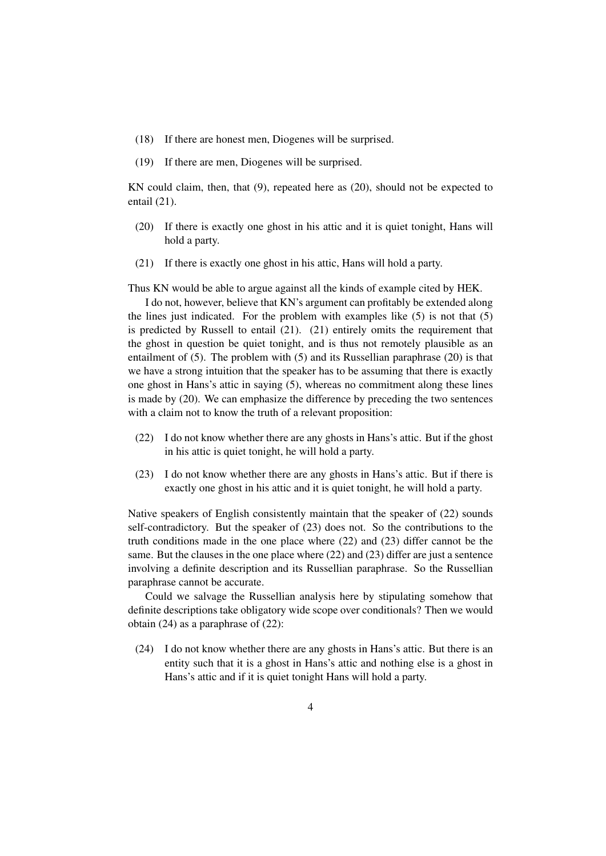- (18) If there are honest men, Diogenes will be surprised.
- (19) If there are men, Diogenes will be surprised.

KN could claim, then, that (9), repeated here as (20), should not be expected to entail (21).

- (20) If there is exactly one ghost in his attic and it is quiet tonight, Hans will hold a party.
- (21) If there is exactly one ghost in his attic, Hans will hold a party.

Thus KN would be able to argue against all the kinds of example cited by HEK.

I do not, however, believe that KN's argument can profitably be extended along the lines just indicated. For the problem with examples like  $(5)$  is not that  $(5)$ is predicted by Russell to entail (21). (21) entirely omits the requirement that the ghost in question be quiet tonight, and is thus not remotely plausible as an entailment of (5). The problem with (5) and its Russellian paraphrase (20) is that we have a strong intuition that the speaker has to be assuming that there is exactly one ghost in Hans's attic in saying (5), whereas no commitment along these lines is made by (20). We can emphasize the difference by preceding the two sentences with a claim not to know the truth of a relevant proposition:

- (22) I do not know whether there are any ghosts in Hans's attic. But if the ghost in his attic is quiet tonight, he will hold a party.
- (23) I do not know whether there are any ghosts in Hans's attic. But if there is exactly one ghost in his attic and it is quiet tonight, he will hold a party.

Native speakers of English consistently maintain that the speaker of (22) sounds self-contradictory. But the speaker of (23) does not. So the contributions to the truth conditions made in the one place where (22) and (23) differ cannot be the same. But the clauses in the one place where (22) and (23) differ are just a sentence involving a definite description and its Russellian paraphrase. So the Russellian paraphrase cannot be accurate.

Could we salvage the Russellian analysis here by stipulating somehow that definite descriptions take obligatory wide scope over conditionals? Then we would obtain (24) as a paraphrase of (22):

(24) I do not know whether there are any ghosts in Hans's attic. But there is an entity such that it is a ghost in Hans's attic and nothing else is a ghost in Hans's attic and if it is quiet tonight Hans will hold a party.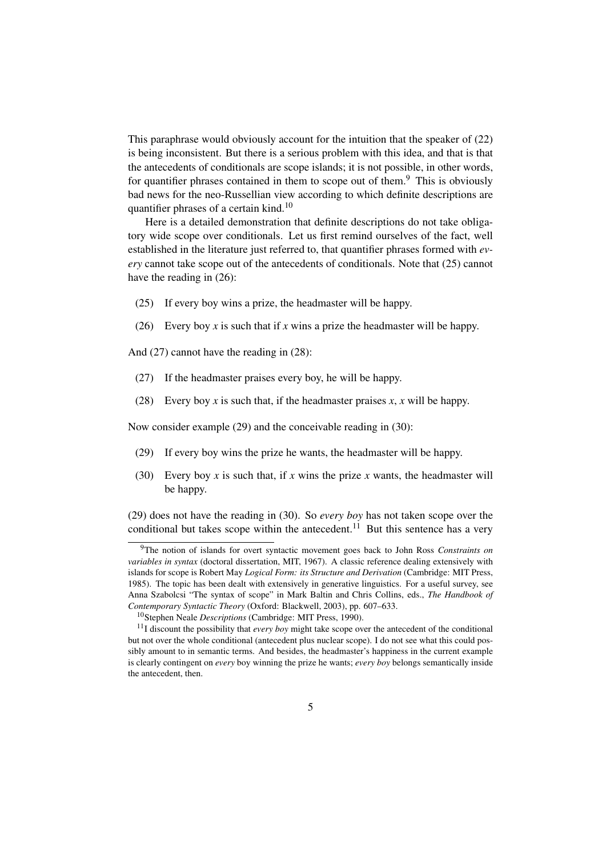This paraphrase would obviously account for the intuition that the speaker of (22) is being inconsistent. But there is a serious problem with this idea, and that is that the antecedents of conditionals are scope islands; it is not possible, in other words, for quantifier phrases contained in them to scope out of them.<sup>9</sup> This is obviously bad news for the neo-Russellian view according to which definite descriptions are quantifier phrases of a certain kind.<sup>10</sup>

Here is a detailed demonstration that definite descriptions do not take obligatory wide scope over conditionals. Let us first remind ourselves of the fact, well established in the literature just referred to, that quantifier phrases formed with *every* cannot take scope out of the antecedents of conditionals. Note that (25) cannot have the reading in (26):

- (25) If every boy wins a prize, the headmaster will be happy.
- (26) Every boy *x* is such that if *x* wins a prize the headmaster will be happy.

And (27) cannot have the reading in (28):

- (27) If the headmaster praises every boy, he will be happy.
- (28) Every boy *x* is such that, if the headmaster praises *x*, *x* will be happy.

Now consider example (29) and the conceivable reading in (30):

- (29) If every boy wins the prize he wants, the headmaster will be happy.
- (30) Every boy *x* is such that, if *x* wins the prize *x* wants, the headmaster will be happy.

(29) does not have the reading in (30). So *every boy* has not taken scope over the conditional but takes scope within the antecedent.<sup>11</sup> But this sentence has a very

<sup>9</sup>The notion of islands for overt syntactic movement goes back to John Ross *Constraints on variables in syntax* (doctoral dissertation, MIT, 1967). A classic reference dealing extensively with islands for scope is Robert May *Logical Form: its Structure and Derivation* (Cambridge: MIT Press, 1985). The topic has been dealt with extensively in generative linguistics. For a useful survey, see Anna Szabolcsi "The syntax of scope" in Mark Baltin and Chris Collins, eds., *The Handbook of Contemporary Syntactic Theory* (Oxford: Blackwell, 2003), pp. 607–633.

<sup>10</sup>Stephen Neale *Descriptions* (Cambridge: MIT Press, 1990).

<sup>11</sup>I discount the possibility that *every boy* might take scope over the antecedent of the conditional but not over the whole conditional (antecedent plus nuclear scope). I do not see what this could possibly amount to in semantic terms. And besides, the headmaster's happiness in the current example is clearly contingent on *every* boy winning the prize he wants; *every boy* belongs semantically inside the antecedent, then.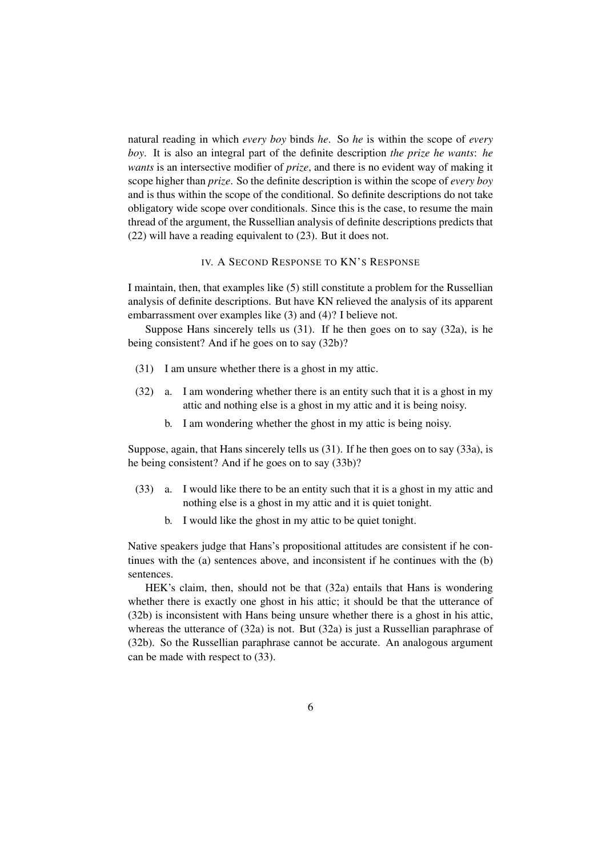natural reading in which *every boy* binds *he*. So *he* is within the scope of *every boy*. It is also an integral part of the definite description *the prize he wants*: *he wants* is an intersective modifier of *prize*, and there is no evident way of making it scope higher than *prize*. So the definite description is within the scope of *every boy* and is thus within the scope of the conditional. So definite descriptions do not take obligatory wide scope over conditionals. Since this is the case, to resume the main thread of the argument, the Russellian analysis of definite descriptions predicts that (22) will have a reading equivalent to (23). But it does not.

#### IV. A SECOND RESPONSE TO KN'S RESPONSE

I maintain, then, that examples like (5) still constitute a problem for the Russellian analysis of definite descriptions. But have KN relieved the analysis of its apparent embarrassment over examples like (3) and (4)? I believe not.

Suppose Hans sincerely tells us (31). If he then goes on to say (32a), is he being consistent? And if he goes on to say (32b)?

- (31) I am unsure whether there is a ghost in my attic.
- (32) a. I am wondering whether there is an entity such that it is a ghost in my attic and nothing else is a ghost in my attic and it is being noisy.
	- b. I am wondering whether the ghost in my attic is being noisy.

Suppose, again, that Hans sincerely tells us (31). If he then goes on to say (33a), is he being consistent? And if he goes on to say (33b)?

- (33) a. I would like there to be an entity such that it is a ghost in my attic and nothing else is a ghost in my attic and it is quiet tonight.
	- b. I would like the ghost in my attic to be quiet tonight.

Native speakers judge that Hans's propositional attitudes are consistent if he continues with the (a) sentences above, and inconsistent if he continues with the (b) sentences.

HEK's claim, then, should not be that (32a) entails that Hans is wondering whether there is exactly one ghost in his attic; it should be that the utterance of (32b) is inconsistent with Hans being unsure whether there is a ghost in his attic, whereas the utterance of (32a) is not. But (32a) is just a Russellian paraphrase of (32b). So the Russellian paraphrase cannot be accurate. An analogous argument can be made with respect to (33).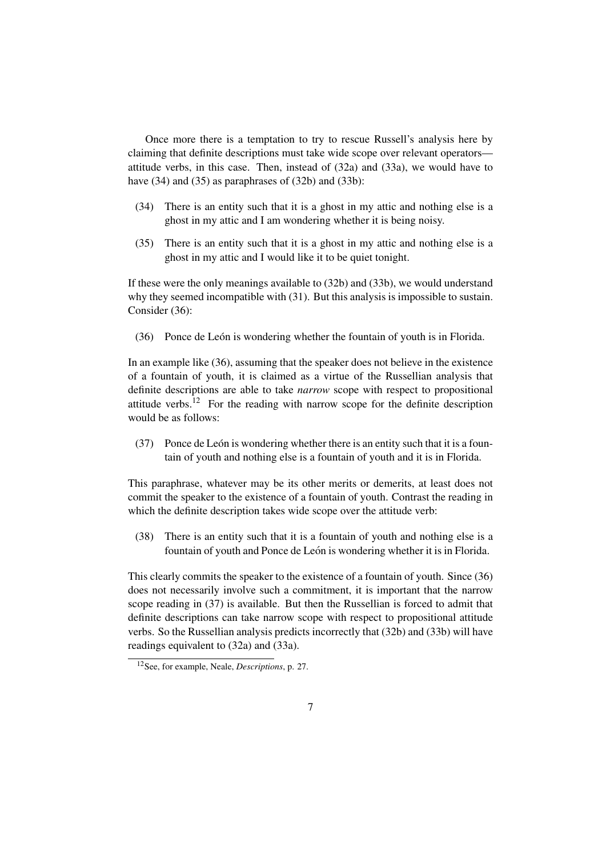Once more there is a temptation to try to rescue Russell's analysis here by claiming that definite descriptions must take wide scope over relevant operators attitude verbs, in this case. Then, instead of (32a) and (33a), we would have to have (34) and (35) as paraphrases of (32b) and (33b):

- (34) There is an entity such that it is a ghost in my attic and nothing else is a ghost in my attic and I am wondering whether it is being noisy.
- (35) There is an entity such that it is a ghost in my attic and nothing else is a ghost in my attic and I would like it to be quiet tonight.

If these were the only meanings available to (32b) and (33b), we would understand why they seemed incompatible with (31). But this analysis is impossible to sustain. Consider (36):

(36) Ponce de León is wondering whether the fountain of youth is in Florida.

In an example like (36), assuming that the speaker does not believe in the existence of a fountain of youth, it is claimed as a virtue of the Russellian analysis that definite descriptions are able to take *narrow* scope with respect to propositional attitude verbs.<sup>12</sup> For the reading with narrow scope for the definite description would be as follows:

 $(37)$  Ponce de León is wondering whether there is an entity such that it is a fountain of youth and nothing else is a fountain of youth and it is in Florida.

This paraphrase, whatever may be its other merits or demerits, at least does not commit the speaker to the existence of a fountain of youth. Contrast the reading in which the definite description takes wide scope over the attitude verb:

(38) There is an entity such that it is a fountain of youth and nothing else is a fountain of youth and Ponce de León is wondering whether it is in Florida.

This clearly commits the speaker to the existence of a fountain of youth. Since (36) does not necessarily involve such a commitment, it is important that the narrow scope reading in (37) is available. But then the Russellian is forced to admit that definite descriptions can take narrow scope with respect to propositional attitude verbs. So the Russellian analysis predicts incorrectly that (32b) and (33b) will have readings equivalent to (32a) and (33a).

<sup>12</sup>See, for example, Neale, *Descriptions*, p. 27.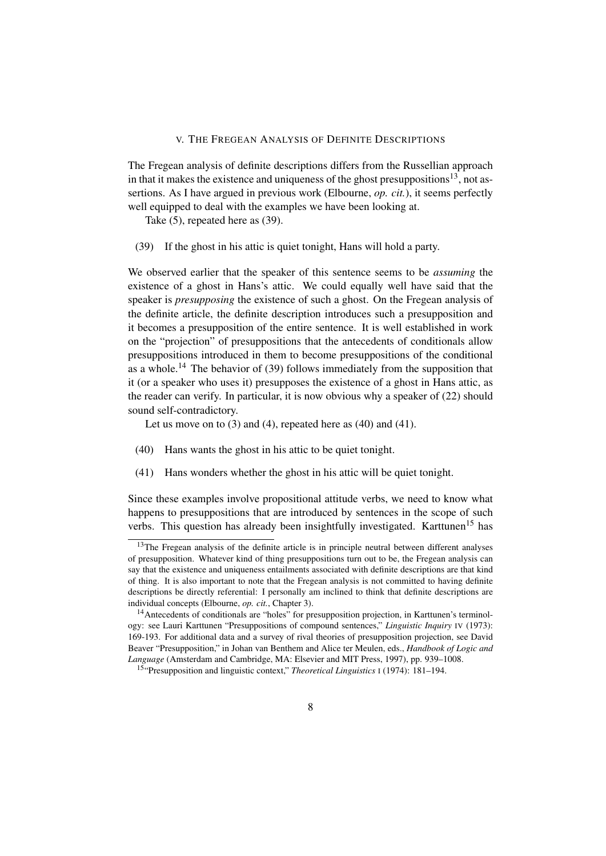### V. THE FREGEAN ANALYSIS OF DEFINITE DESCRIPTIONS

The Fregean analysis of definite descriptions differs from the Russellian approach in that it makes the existence and uniqueness of the ghost presuppositions<sup>13</sup>, not assertions. As I have argued in previous work (Elbourne, *op. cit.*), it seems perfectly well equipped to deal with the examples we have been looking at.

Take (5), repeated here as (39).

(39) If the ghost in his attic is quiet tonight, Hans will hold a party.

We observed earlier that the speaker of this sentence seems to be *assuming* the existence of a ghost in Hans's attic. We could equally well have said that the speaker is *presupposing* the existence of such a ghost. On the Fregean analysis of the definite article, the definite description introduces such a presupposition and it becomes a presupposition of the entire sentence. It is well established in work on the "projection" of presuppositions that the antecedents of conditionals allow presuppositions introduced in them to become presuppositions of the conditional as a whole.<sup>14</sup> The behavior of (39) follows immediately from the supposition that it (or a speaker who uses it) presupposes the existence of a ghost in Hans attic, as the reader can verify. In particular, it is now obvious why a speaker of (22) should sound self-contradictory.

Let us move on to  $(3)$  and  $(4)$ , repeated here as  $(40)$  and  $(41)$ .

- (40) Hans wants the ghost in his attic to be quiet tonight.
- (41) Hans wonders whether the ghost in his attic will be quiet tonight.

Since these examples involve propositional attitude verbs, we need to know what happens to presuppositions that are introduced by sentences in the scope of such verbs. This question has already been insightfully investigated. Karttunen<sup>15</sup> has

<sup>&</sup>lt;sup>13</sup>The Fregean analysis of the definite article is in principle neutral between different analyses of presupposition. Whatever kind of thing presuppositions turn out to be, the Fregean analysis can say that the existence and uniqueness entailments associated with definite descriptions are that kind of thing. It is also important to note that the Fregean analysis is not committed to having definite descriptions be directly referential: I personally am inclined to think that definite descriptions are individual concepts (Elbourne, *op. cit.*, Chapter 3).

<sup>14</sup>Antecedents of conditionals are "holes" for presupposition projection, in Karttunen's terminology: see Lauri Karttunen "Presuppositions of compound sentences," *Linguistic Inquiry* IV (1973): 169-193. For additional data and a survey of rival theories of presupposition projection, see David Beaver "Presupposition," in Johan van Benthem and Alice ter Meulen, eds., *Handbook of Logic and Language* (Amsterdam and Cambridge, MA: Elsevier and MIT Press, 1997), pp. 939–1008.

<sup>15</sup>"Presupposition and linguistic context," *Theoretical Linguistics* <sup>I</sup> (1974): 181–194.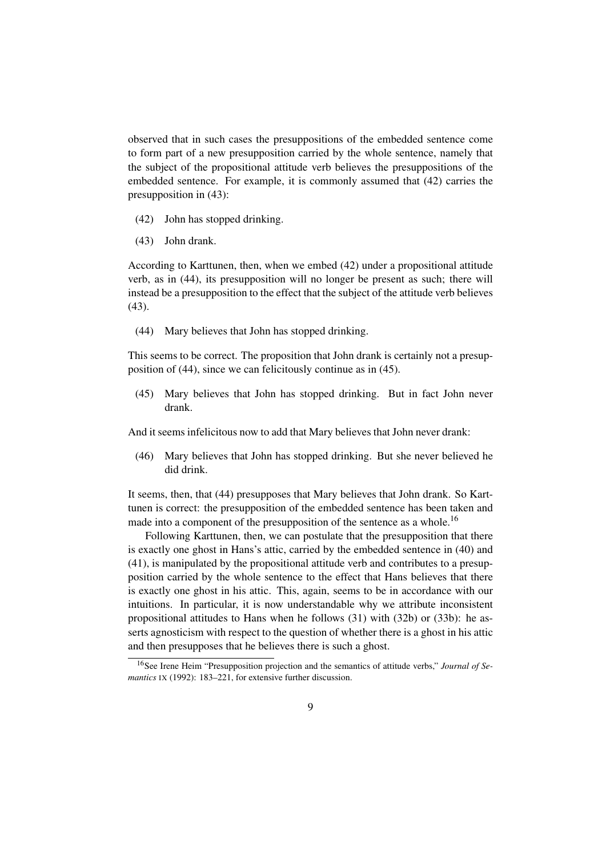observed that in such cases the presuppositions of the embedded sentence come to form part of a new presupposition carried by the whole sentence, namely that the subject of the propositional attitude verb believes the presuppositions of the embedded sentence. For example, it is commonly assumed that (42) carries the presupposition in (43):

- (42) John has stopped drinking.
- (43) John drank.

According to Karttunen, then, when we embed (42) under a propositional attitude verb, as in (44), its presupposition will no longer be present as such; there will instead be a presupposition to the effect that the subject of the attitude verb believes (43).

(44) Mary believes that John has stopped drinking.

This seems to be correct. The proposition that John drank is certainly not a presupposition of (44), since we can felicitously continue as in (45).

(45) Mary believes that John has stopped drinking. But in fact John never drank.

And it seems infelicitous now to add that Mary believes that John never drank:

(46) Mary believes that John has stopped drinking. But she never believed he did drink.

It seems, then, that (44) presupposes that Mary believes that John drank. So Karttunen is correct: the presupposition of the embedded sentence has been taken and made into a component of the presupposition of the sentence as a whole.<sup>16</sup>

Following Karttunen, then, we can postulate that the presupposition that there is exactly one ghost in Hans's attic, carried by the embedded sentence in (40) and (41), is manipulated by the propositional attitude verb and contributes to a presupposition carried by the whole sentence to the effect that Hans believes that there is exactly one ghost in his attic. This, again, seems to be in accordance with our intuitions. In particular, it is now understandable why we attribute inconsistent propositional attitudes to Hans when he follows (31) with (32b) or (33b): he asserts agnosticism with respect to the question of whether there is a ghost in his attic and then presupposes that he believes there is such a ghost.

<sup>16</sup>See Irene Heim "Presupposition projection and the semantics of attitude verbs," *Journal of Semantics* IX (1992): 183–221, for extensive further discussion.